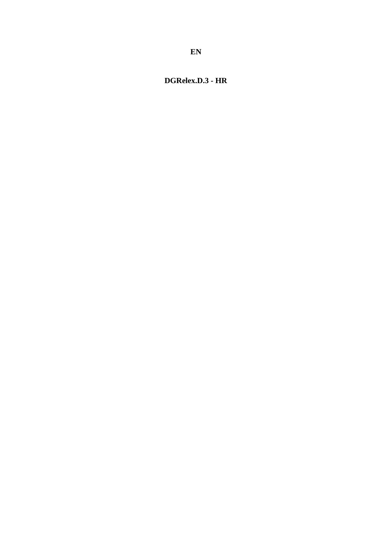# <span id="page-0-0"></span>DGRelex.D.3 - HR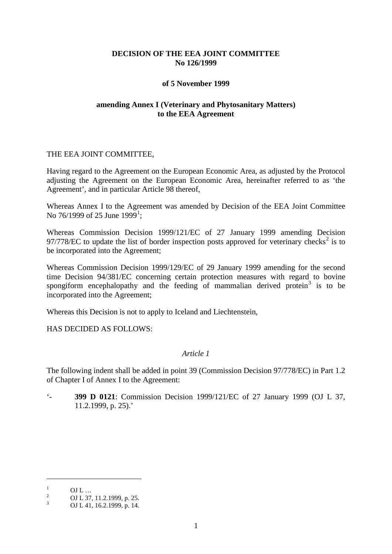# **DECISION OF THE EEA JOINT COMMITTEE No 126/1999**

#### **of 5 November 1999**

### **amending Annex I (Veterinary and Phytosanitary Matters) to the EEA Agreement**

### THE EEA JOINT COMMITTEE,

Having regard to the Agreement on the European Economic Area, as adjusted by the Protocol adjusting the Agreement on the European Economic Area, hereinafter referred to as 'the Agreement', and in particular Article 98 thereof,

Whereas Annex I to the Agreement was amended by Decision of the EEA Joint Committee No 76/[1](#page-0-0)999 of 25 June 1999<sup>1</sup>;

Whereas Commission Decision 1999/121/EC of 27 January 1999 amending Decision 97/778/EC to update the list of border inspection posts approved for veterinary checks<sup>[2](#page-1-0)</sup> is to be incorporated into the Agreement;

Whereas Commission Decision 1999/129/EC of 29 January 1999 amending for the second time Decision 94/381/EC concerning certain protection measures with regard to bovine spongiform encephalopathy and the feeding of mammalian derived protein<sup>[3](#page-1-1)</sup> is to be incorporated into the Agreement;

Whereas this Decision is not to apply to Iceland and Liechtenstein,

HAS DECIDED AS FOLLOWS:

# *Article 1*

The following indent shall be added in point 39 (Commission Decision 97/778/EC) in Part 1.2 of Chapter I of Annex I to the Agreement:

'- **399 D 0121**: Commission Decision 1999/121/EC of 27 January 1999 (OJ L 37, 11.2.1999, p. 25).'

-

<span id="page-1-0"></span><sup>1</sup> **OJ L** ...<br>
2 **OJ L 37, 11.2.1999, p. 25.**<br>
3 **OJ L 41, 16.2.1999, p. 14.** 

<span id="page-1-1"></span>